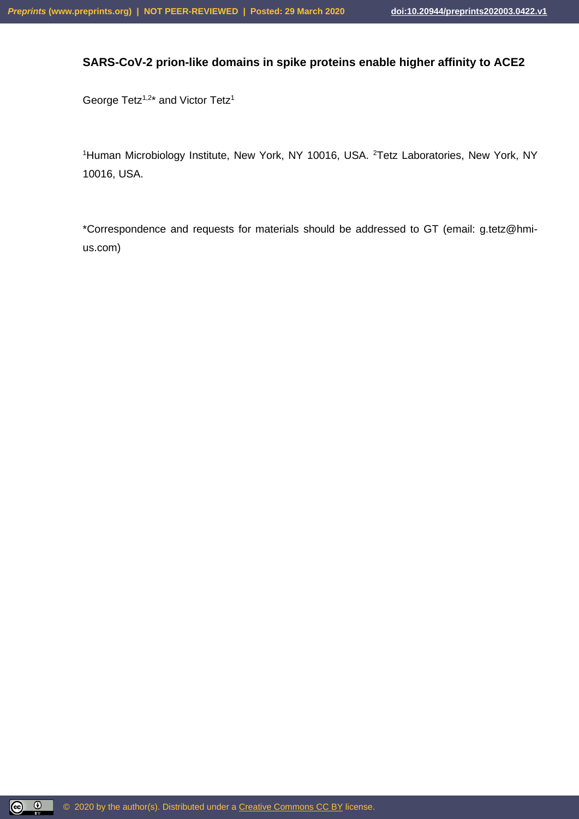## **SARS-CoV-2 prion-like domains in spike proteins enable higher affinity to ACE2**

George Tetz<sup>1,2\*</sup> and Victor Tetz<sup>1</sup>

<sup>1</sup>Human Microbiology Institute, New York, NY 10016, USA. <sup>2</sup>Tetz Laboratories, New York, NY 10016, USA.

\*Correspondence and requests for materials should be addressed to GT (email: g.tetz@hmius.com)

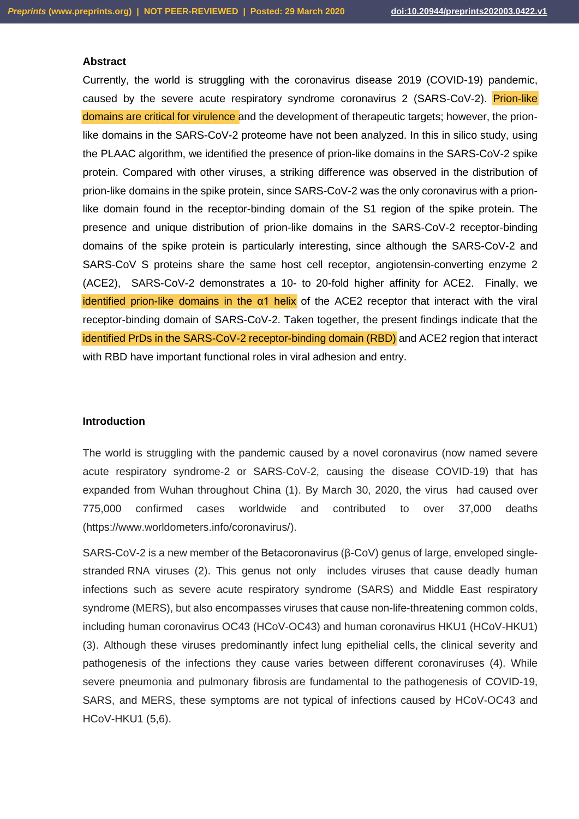#### **Abstract**

Currently, the world is struggling with the coronavirus disease 2019 (COVID-19) pandemic, caused by the severe acute respiratory syndrome coronavirus 2 (SARS-CoV-2). Prion-like domains are critical for virulence and the development of therapeutic targets; however, the prionlike domains in the SARS-CoV-2 proteome have not been analyzed. In this in silico study, using the PLAAC algorithm, we identified the presence of prion-like domains in the SARS-CoV-2 spike protein. Compared with other viruses, a striking difference was observed in the distribution of prion-like domains in the spike protein, since SARS-CoV-2 was the only coronavirus with a prionlike domain found in the receptor-binding domain of the S1 region of the spike protein. The presence and unique distribution of prion-like domains in the SARS-CoV-2 receptor-binding domains of the spike protein is particularly interesting, since although the SARS-CoV-2 and SARS-CoV S proteins share the same host cell receptor, angiotensin-converting enzyme 2 (ACE2), SARS-CoV-2 demonstrates a 10- to 20-fold higher affinity for ACE2. Finally, we identified prion-like domains in the  $\alpha$ 1 helix of the ACE2 receptor that interact with the viral receptor-binding domain of SARS-CoV-2. Taken together, the present findings indicate that the identified PrDs in the SARS-CoV-2 receptor-binding domain (RBD) and ACE2 region that interact with RBD have important functional roles in viral adhesion and entry.

## **Introduction**

The world is struggling with the pandemic caused by a novel coronavirus (now named severe acute respiratory syndrome-2 or SARS-CoV-2, causing the disease COVID-19) that has expanded from Wuhan throughout China (1). By March 30, 2020, the virus had caused over 775,000 confirmed cases worldwide and contributed to over 37,000 deaths [\(https://www.worldometers.info/coronavirus/\)](https://www.worldometers.info/coronavirus/).

SARS-CoV-2 is a new member of the Betacoronavirus (β-CoV) genus of large, enveloped singlestranded RNA viruses (2). This genus not only includes viruses that cause deadly human infections such as severe acute respiratory syndrome (SARS) and Middle East respiratory syndrome (MERS), but also encompasses viruses that cause non-life-threatening common colds, including human coronavirus OC43 (HCoV-OC43) and human coronavirus HKU1 (HCoV-HKU1) (3). Although these viruses predominantly infect lung epithelial cells, the clinical severity and pathogenesis of the infections they cause varies between different coronaviruses (4). While severe pneumonia and pulmonary fibrosis are fundamental to the pathogenesis of COVID-19, SARS, and MERS, these symptoms are not typical of infections caused by HCoV-OC43 and HCoV-HKU1 (5,6).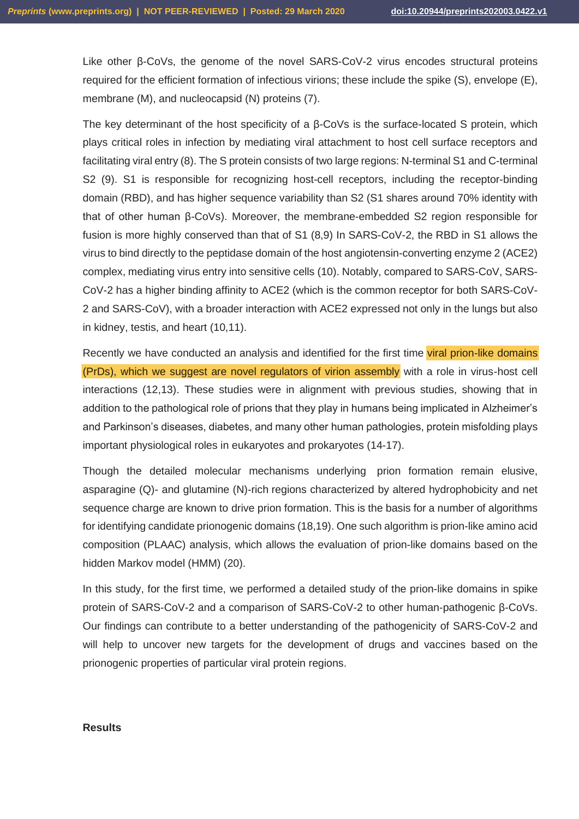Like other β-CoVs, the genome of the novel SARS-CoV-2 virus encodes structural proteins required for the efficient formation of infectious virions; these include the spike (S), envelope (E), membrane (M), and nucleocapsid (N) proteins (7).

The key determinant of the host specificity of a β-CoVs is the surface-located S protein, which plays critical roles in infection by mediating viral attachment to host cell surface receptors and facilitating viral entry (8). The S protein consists of two large regions: N-terminal S1 and C-terminal S2 (9). S1 is responsible for recognizing host-cell receptors, including the receptor-binding domain (RBD), and has higher sequence variability than S2 (S1 shares around 70% identity with that of other human β-CoVs). Moreover, the membrane-embedded S2 region responsible for fusion is more highly conserved than that of S1 (8,9) In SARS-CoV-2, the RBD in S1 allows the virus to bind directly to the peptidase domain of the host angiotensin-converting enzyme 2 (ACE2) complex, mediating virus entry into sensitive cells (10). Notably, compared to SARS-CoV, SARS-CoV-2 has a higher binding affinity to ACE2 (which is the common receptor for both SARS-CoV-2 and SARS-CoV), with a broader interaction with ACE2 expressed not only in the lungs but also in kidney, testis, and heart (10,11).

Recently we have conducted an analysis and identified for the first time viral prion-like domains (PrDs), which we suggest are novel regulators of virion assembly with a role in virus-host cell interactions (12,13). These studies were in alignment with previous studies, showing that in addition to the pathological role of prions that they play in humans being implicated in Alzheimer's and Parkinson's diseases, diabetes, and many other human pathologies, protein misfolding plays important physiological roles in eukaryotes and prokaryotes (14-17).

Though the detailed molecular mechanisms underlying prion formation remain elusive, asparagine (Q)- and glutamine (N)-rich regions characterized by altered hydrophobicity and net sequence charge are known to drive prion formation. This is the basis for a number of algorithms for identifying candidate prionogenic domains (18,19). One such algorithm is prion-like amino acid composition (PLAAC) analysis, which allows the evaluation of prion-like domains based on the hidden Markov model (HMM) (20).

In this study, for the first time, we performed a detailed study of the prion-like domains in spike protein of SARS-CoV-2 and a comparison of SARS-CoV-2 to other human-pathogenic β-CoVs. Our findings can contribute to a better understanding of the pathogenicity of SARS-CoV-2 and will help to uncover new targets for the development of drugs and vaccines based on the prionogenic properties of particular viral protein regions.

#### **Results**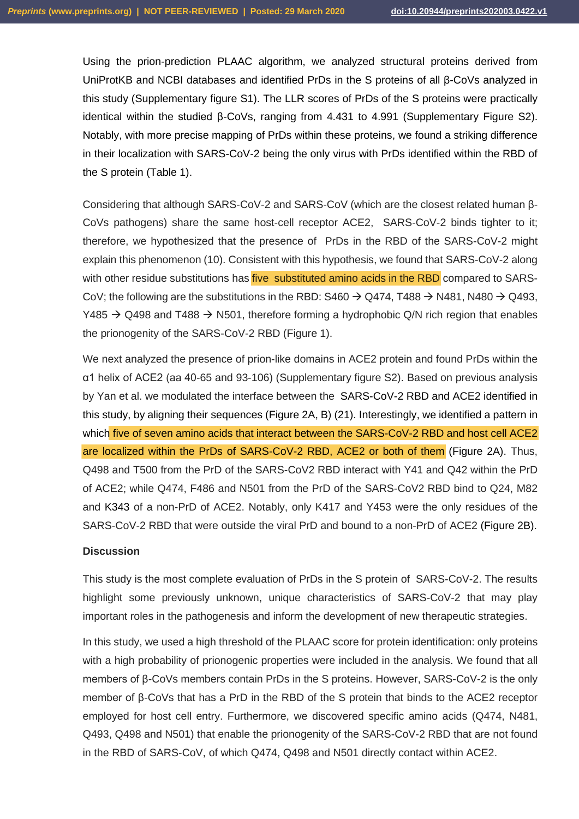Using the prion-prediction PLAAC algorithm, we analyzed structural proteins derived from UniProtKB and NCBI databases and identified PrDs in the S proteins of all β-CoVs analyzed in this study (Supplementary figure S1). The LLR scores of PrDs of the S proteins were practically identical within the studied β-CoVs, ranging from 4.431 to 4.991 (Supplementary Figure S2). Notably, with more precise mapping of PrDs within these proteins, we found a striking difference in their localization with SARS-CoV-2 being the only virus with PrDs identified within the RBD of the S protein (Table 1).

Considering that although SARS-CoV-2 and SARS-CoV (which are the closest related human β-CoVs pathogens) share the same host-cell receptor ACE2, SARS-CoV-2 binds tighter to it; therefore, we hypothesized that the presence of PrDs in the RBD of the SARS-CoV-2 might explain this phenomenon (10). Consistent with this hypothesis, we found that SARS-CoV-2 along with other residue substitutions has *five* substituted amino acids in the RBD compared to SARS-CoV; the following are the substitutions in the RBD:  $\text{S460} \rightarrow \text{Q474}$ , T488  $\rightarrow$  N481, N480  $\rightarrow$  Q493, Y485  $\rightarrow$  Q498 and T488  $\rightarrow$  N501, therefore forming a hydrophobic Q/N rich region that enables the prionogenity of the SARS-CoV-2 RBD (Figure 1).

We next analyzed the presence of prion-like domains in ACE2 protein and found PrDs within the α1 helix of ACE2 (aa 40-65 and 93-106) (Supplementary figure S2). Based on previous analysis by Yan et al. we modulated the interface between the SARS-CoV-2 RBD and ACE2 identified in this study, by aligning their sequences (Figure 2A, B) (21). Interestingly, we identified a pattern in which five of seven amino acids that interact between the SARS-CoV-2 RBD and host cell ACE2 are localized within the PrDs of SARS-CoV-2 RBD, ACE2 or both of them (Figure 2A). Thus, Q498 and T500 from the PrD of the SARS-CoV2 RBD interact with Y41 and Q42 within the PrD of ACE2; while Q474, F486 and N501 from the PrD of the SARS-CoV2 RBD bind to Q24, M82 and K343 of a non-PrD of ACE2. Notably, only K417 and Y453 were the only residues of the SARS-CoV-2 RBD that were outside the viral PrD and bound to a non-PrD of ACE2 (Figure 2B).

#### **Discussion**

This study is the most complete evaluation of PrDs in the S protein of SARS-CoV-2. The results highlight some previously unknown, unique characteristics of SARS-CoV-2 that may play important roles in the pathogenesis and inform the development of new therapeutic strategies.

In this study, we used a high threshold of the PLAAC score for protein identification: only proteins with a high probability of prionogenic properties were included in the analysis. We found that all members of β-CoVs members contain PrDs in the S proteins. However, SARS-CoV-2 is the only member of β-CoVs that has a PrD in the RBD of the S protein that binds to the ACE2 receptor employed for host cell entry. Furthermore, we discovered specific amino acids (Q474, N481, Q493, Q498 and N501) that enable the prionogenity of the SARS-CoV-2 RBD that are not found in the RBD of SARS-CoV, of which Q474, Q498 and N501 directly contact within ACE2.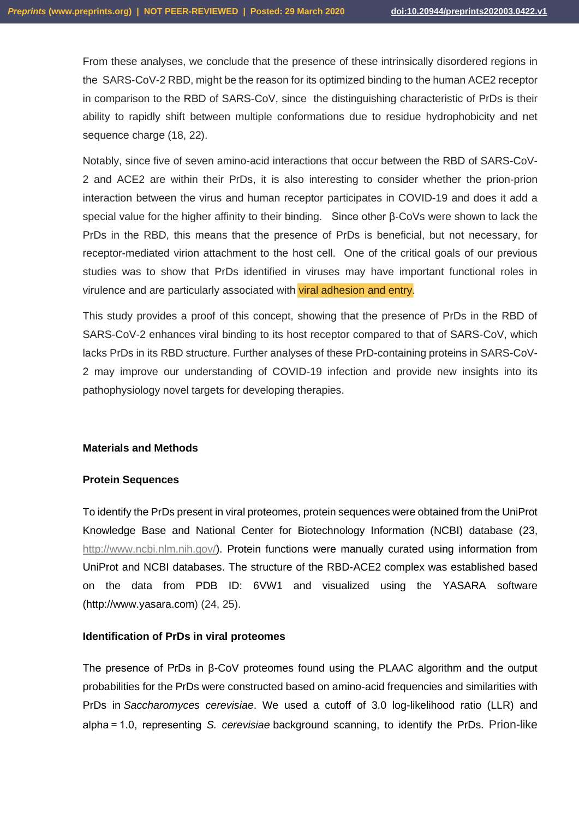From these analyses, we conclude that the presence of these intrinsically disordered regions in the SARS-CoV-2 RBD, might be the reason for its optimized binding to the human ACE2 receptor in comparison to the RBD of SARS-CoV, since the distinguishing characteristic of PrDs is their ability to rapidly shift between multiple conformations due to residue hydrophobicity and net sequence charge (18, 22).

Notably, since five of seven amino-acid interactions that occur between the RBD of SARS-CoV-2 and ACE2 are within their PrDs, it is also interesting to consider whether the prion-prion interaction between the virus and human receptor participates in COVID-19 and does it add a special value for the higher affinity to their binding. Since other β-CoVs were shown to lack the PrDs in the RBD, this means that the presence of PrDs is beneficial, but not necessary, for receptor-mediated virion attachment to the host cell. One of the critical goals of our previous studies was to show that PrDs identified in viruses may have important functional roles in virulence and are particularly associated with viral adhesion and entry.

This study provides a proof of this concept, showing that the presence of PrDs in the RBD of SARS-CoV-2 enhances viral binding to its host receptor compared to that of SARS-CoV, which lacks PrDs in its RBD structure. Further analyses of these PrD-containing proteins in SARS-CoV-2 may improve our understanding of COVID-19 infection and provide new insights into its pathophysiology novel targets for developing therapies.

#### **Materials and Methods**

#### **Protein Sequences**

To identify the PrDs present in viral proteomes, protein sequences were obtained from the UniProt Knowledge Base and National Center for Biotechnology Information (NCBI) database (23, [http://www.ncbi.nlm.nih.gov/\)](http://www.ncbi.nlm.nih.gov/). Protein functions were manually curated using information from UniProt and NCBI databases. The structure of the RBD-ACE2 complex was established based on the data from PDB ID: 6VW1 and visualized using the YASARA software (http://www.yasara.com) (24, 25).

#### **Identification of PrDs in viral proteomes**

The presence of PrDs in β-CoV proteomes found using the PLAAC algorithm and the output probabilities for the PrDs were constructed based on amino-acid frequencies and similarities with PrDs in *Saccharomyces cerevisiae*. We used a cutoff of 3.0 log-likelihood ratio (LLR) and alpha = 1.0, representing *S. cerevisiae* background scanning, to identify the PrDs. Prion-like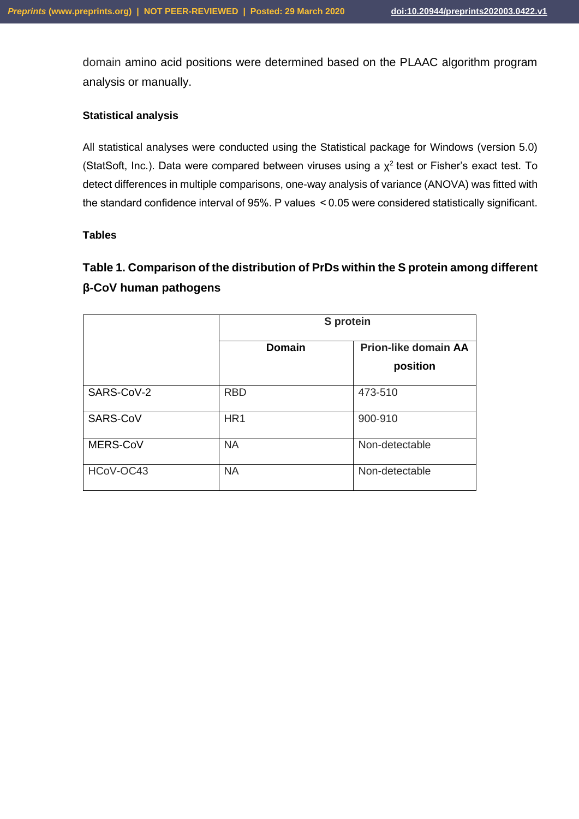domain amino acid positions were determined based on the PLAAC algorithm program analysis or manually.

## **Statistical analysis**

All statistical analyses were conducted using the Statistical package for Windows (version 5.0) (StatSoft, Inc.). Data were compared between viruses using a  $\chi^2$  test or Fisher's exact test. To detect differences in multiple comparisons, one-way analysis of variance (ANOVA) was fitted with the standard confidence interval of 95%. P values  < 0.05 were considered statistically significant.

#### **Tables**

# **Table 1. Comparison of the distribution of PrDs within the S protein among different β-CoV human pathogens**

|            | S protein       |                                         |  |
|------------|-----------------|-----------------------------------------|--|
|            | <b>Domain</b>   | <b>Prion-like domain AA</b><br>position |  |
| SARS-CoV-2 | <b>RBD</b>      | 473-510                                 |  |
| SARS-CoV   | HR <sub>1</sub> | 900-910                                 |  |
| MERS-CoV   | <b>NA</b>       | Non-detectable                          |  |
| HCoV-OC43  | <b>NA</b>       | Non-detectable                          |  |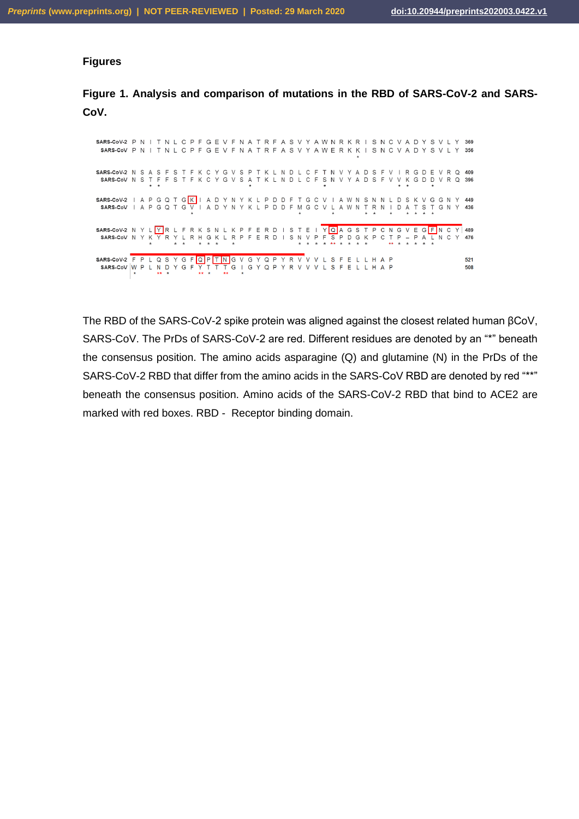#### **Figures**

**Figure 1. Analysis and comparison of mutations in the RBD of SARS-CoV-2 and SARS-CoV.**



The RBD of the SARS-CoV-2 spike protein was aligned against the closest related human βCoV, SARS-CoV. The PrDs of SARS-CoV-2 are red. Different residues are denoted by an "\*" beneath the consensus position. The amino acids asparagine (Q) and glutamine (N) in the PrDs of the SARS-CoV-2 RBD that differ from the amino acids in the SARS-CoV RBD are denoted by red "\*\*" beneath the consensus position. Amino acids of the SARS-CoV-2 RBD that bind to ACE2 are marked with red boxes. RBD - Receptor binding domain.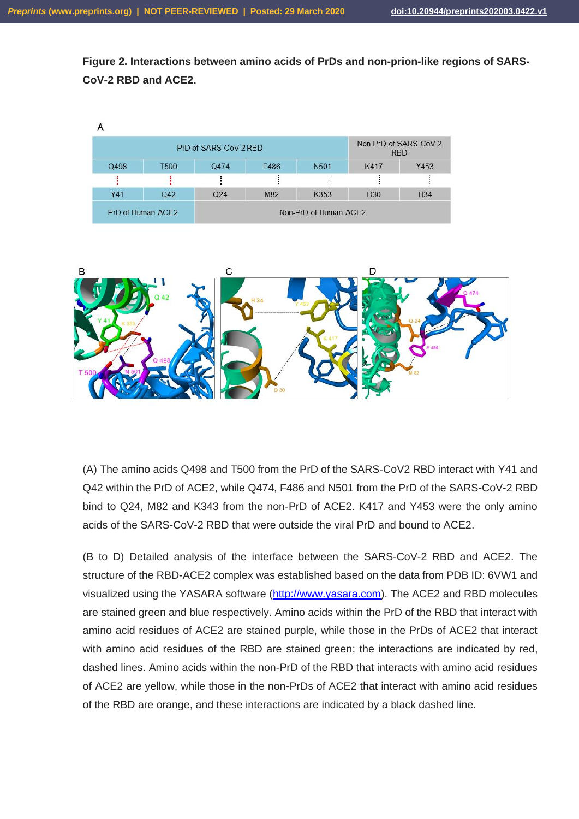$\lambda$ 

**Figure 2. Interactions between amino acids of PrDs and non-prion-like regions of SARS-CoV-2 RBD and ACE2.**

| PrD of SARS-CoV-2 RBD |                 |      | Non-PrD of SARS-CoV-2<br><b>RBD</b> |                 |                 |
|-----------------------|-----------------|------|-------------------------------------|-----------------|-----------------|
| <b>T500</b>           | Q474            | F486 | N <sub>501</sub>                    | K417            | Y453            |
|                       |                 |      |                                     |                 |                 |
| Q42                   | Q <sub>24</sub> | M82  | K353                                | D <sub>30</sub> | H <sub>34</sub> |
|                       |                 |      |                                     |                 |                 |



(A) The amino acids Q498 and T500 from the PrD of the SARS-CoV2 RBD interact with Y41 and Q42 within the PrD of ACE2, while Q474, F486 and N501 from the PrD of the SARS-CoV-2 RBD bind to Q24, M82 and K343 from the non-PrD of ACE2. K417 and Y453 were the only amino acids of the SARS-CoV-2 RBD that were outside the viral PrD and bound to ACE2.

(B to D) Detailed analysis of the interface between the SARS-CoV-2 RBD and ACE2. The structure of the RBD-ACE2 complex was established based on the data from PDB ID: 6VW1 and visualized using the YASARA software [\(http://www.yasara.com\)](http://www.yasara.com/). The ACE2 and RBD molecules are stained green and blue respectively. Amino acids within the PrD of the RBD that interact with amino acid residues of ACE2 are stained purple, while those in the PrDs of ACE2 that interact with amino acid residues of the RBD are stained green; the interactions are indicated by red, dashed lines. Amino acids within the non-PrD of the RBD that interacts with amino acid residues of ACE2 are yellow, while those in the non-PrDs of ACE2 that interact with amino acid residues of the RBD are orange, and these interactions are indicated by a black dashed line.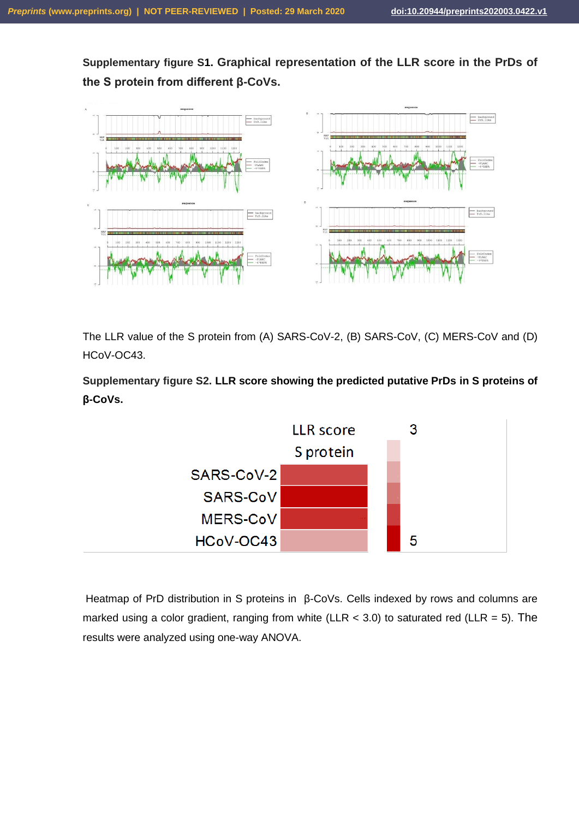**Supplementary figure S1. Graphical representation of the LLR score in the PrDs of the S protein from different β-CoVs.**



The LLR value of the S protein from (A) SARS-CoV-2, (B) SARS-CoV, (C) MERS-CoV and (D) HCoV-OC43.

**Supplementary figure S2. LLR score showing the predicted putative PrDs in S proteins of β-CoVs.**



Heatmap of PrD distribution in S proteins in β-CoVs. Cells indexed by rows and columns are marked using a color gradient, ranging from white (LLR  $<$  3.0) to saturated red (LLR = 5). The results were analyzed using one-way ANOVA.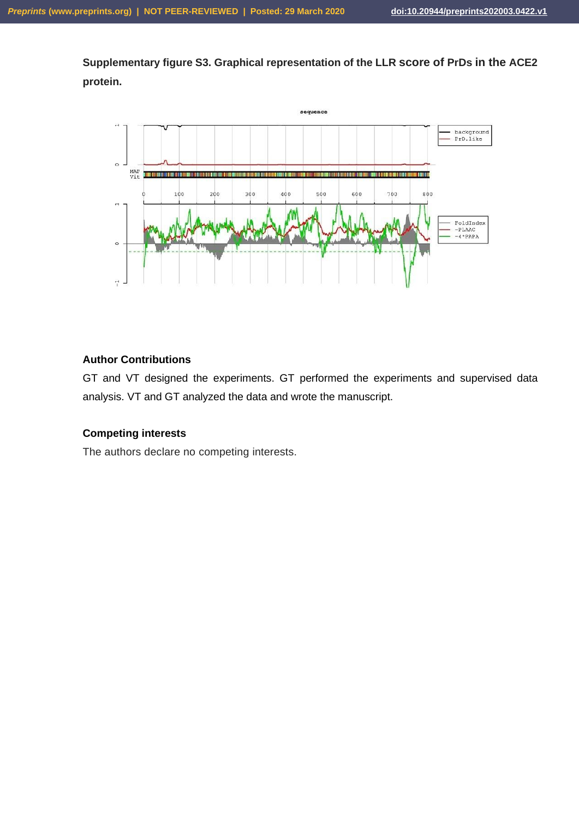**Supplementary figure S3. Graphical representation of the LLR score of PrDs in the ACE2 protein.**



## **Author Contributions**

GT and VT designed the experiments. GT performed the experiments and supervised data analysis. VT and GT analyzed the data and wrote the manuscript.

## **Competing interests**

The authors declare no competing interests.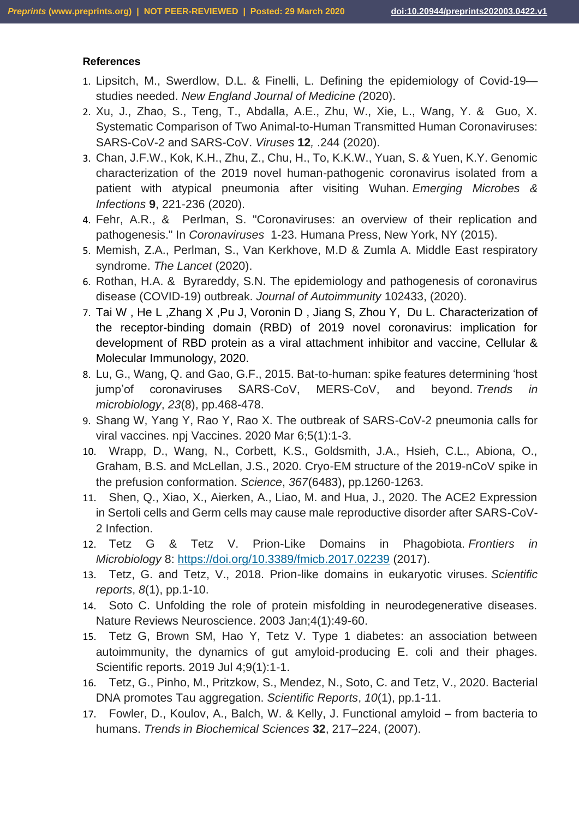#### **References**

- 1. Lipsitch, M., Swerdlow, D.L. & Finelli, L. Defining the epidemiology of Covid-19 studies needed. *New England Journal of Medicine (*2020).
- 2. Xu, J., Zhao, S., Teng, T., Abdalla, A.E., Zhu, W., Xie, L., Wang, Y. & Guo, X. Systematic Comparison of Two Animal-to-Human Transmitted Human Coronaviruses: SARS-CoV-2 and SARS-CoV. *Viruses* **12***,* .244 (2020).
- 3. Chan, J.F.W., Kok, K.H., Zhu, Z., Chu, H., To, K.K.W., Yuan, S. & Yuen, K.Y. Genomic characterization of the 2019 novel human-pathogenic coronavirus isolated from a patient with atypical pneumonia after visiting Wuhan. *Emerging Microbes & Infections* **9**, 221-236 (2020).
- 4. Fehr, A.R., & Perlman, S. "Coronaviruses: an overview of their replication and pathogenesis." In *Coronaviruses* 1-23. Humana Press, New York, NY (2015).
- 5. Memish, Z.A., Perlman, S., Van Kerkhove, M.D & Zumla A. Middle East respiratory syndrome. *The Lancet* (2020).
- 6. Rothan, H.A. & Byrareddy, S.N. The epidemiology and pathogenesis of coronavirus disease (COVID-19) outbreak. *Journal of Autoimmunity* 102433, (2020).
- 7. Tai W , He L ,Zhang X ,Pu J, Voronin D , Jiang S, Zhou Y, Du L. Characterization of the receptor-binding domain (RBD) of 2019 novel coronavirus: implication for development of RBD protein as a viral attachment inhibitor and vaccine, Cellular & Molecular Immunology, 2020.
- 8. Lu, G., Wang, Q. and Gao, G.F., 2015. Bat-to-human: spike features determining 'host jump'of coronaviruses SARS-CoV, MERS-CoV, and beyond. *Trends in microbiology*, *23*(8), pp.468-478.
- 9. Shang W, Yang Y, Rao Y, Rao X. The outbreak of SARS-CoV-2 pneumonia calls for viral vaccines. npj Vaccines. 2020 Mar 6;5(1):1-3.
- 10. Wrapp, D., Wang, N., Corbett, K.S., Goldsmith, J.A., Hsieh, C.L., Abiona, O., Graham, B.S. and McLellan, J.S., 2020. Cryo-EM structure of the 2019-nCoV spike in the prefusion conformation. *Science*, *367*(6483), pp.1260-1263.
- 11. Shen, Q., Xiao, X., Aierken, A., Liao, M. and Hua, J., 2020. The ACE2 Expression in Sertoli cells and Germ cells may cause male reproductive disorder after SARS-CoV-2 Infection.
- 12. Tetz G & Tetz V. Prion-Like Domains in Phagobiota. *Frontiers in Microbiology* 8: <https://doi.org/10.3389/fmicb.2017.02239> (2017).
- 13. Tetz, G. and Tetz, V., 2018. Prion-like domains in eukaryotic viruses. *Scientific reports*, *8*(1), pp.1-10.
- 14. Soto C. Unfolding the role of protein misfolding in neurodegenerative diseases. Nature Reviews Neuroscience. 2003 Jan;4(1):49-60.
- 15. Tetz G, Brown SM, Hao Y, Tetz V. Type 1 diabetes: an association between autoimmunity, the dynamics of gut amyloid-producing E. coli and their phages. Scientific reports. 2019 Jul 4;9(1):1-1.
- 16. Tetz, G., Pinho, M., Pritzkow, S., Mendez, N., Soto, C. and Tetz, V., 2020. Bacterial DNA promotes Tau aggregation. *Scientific Reports*, *10*(1), pp.1-11.
- 17. Fowler, D., Koulov, A., Balch, W. & Kelly, J. Functional amyloid from bacteria to humans. *Trends in Biochemical Sciences* **32**, 217–224, (2007).